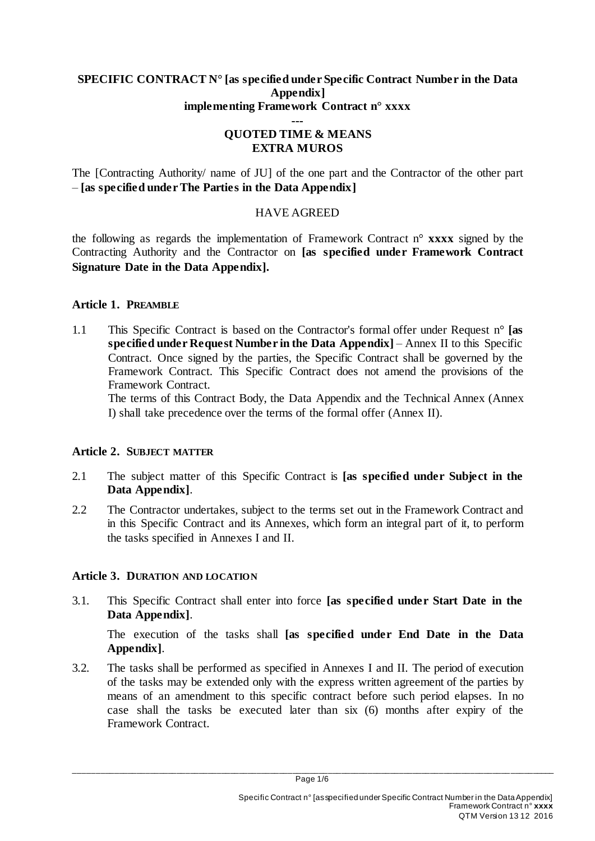### **SPECIFIC CONTRACT N° [as specified under Specific Contract Number in the Data Appendix] implementing Framework Contract n° xxxx**

### **--- QUOTED TIME & MEANS EXTRA MUROS**

The [Contracting Authority/ name of JU] of the one part and the Contractor of the other part – **[as specified under The Parties in the Data Appendix]**

# HAVE AGREED

the following as regards the implementation of Framework Contract n° **xxxx** signed by the Contracting Authority and the Contractor on **[as specified under Framework Contract Signature Date in the Data Appendix].**

## **Article 1. PREAMBLE**

1.1 This Specific Contract is based on the Contractor's formal offer under Request n° **[as specified under Request Number in the Data Appendix]** – Annex II to this Specific Contract. Once signed by the parties, the Specific Contract shall be governed by the Framework Contract. This Specific Contract does not amend the provisions of the Framework Contract.

The terms of this Contract Body, the Data Appendix and the Technical Annex (Annex I) shall take precedence over the terms of the formal offer (Annex II).

## **Article 2. SUBJECT MATTER**

- 2.1 The subject matter of this Specific Contract is **[as specified under Subject in the Data Appendix]**.
- 2.2 The Contractor undertakes, subject to the terms set out in the Framework Contract and in this Specific Contract and its Annexes, which form an integral part of it, to perform the tasks specified in Annexes I and II.

# **Article 3. DURATION AND LOCATION**

3.1. This Specific Contract shall enter into force **[as specified under Start Date in the Data Appendix]**.

The execution of the tasks shall **[as specified under End Date in the Data Appendix]**.

3.2. The tasks shall be performed as specified in Annexes I and II. The period of execution of the tasks may be extended only with the express written agreement of the parties by means of an amendment to this specific contract before such period elapses. In no case shall the tasks be executed later than six (6) months after expiry of the Framework Contract.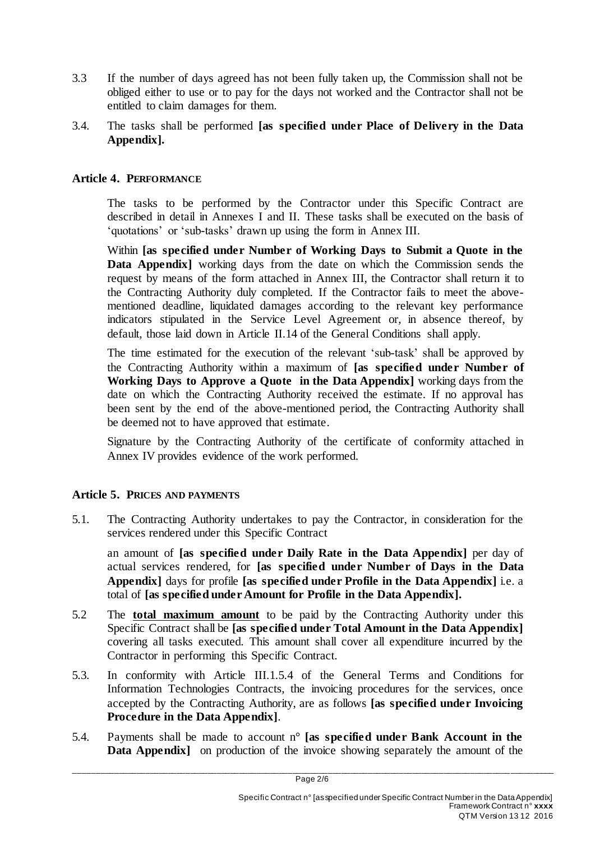- 3.3 If the number of days agreed has not been fully taken up, the Commission shall not be obliged either to use or to pay for the days not worked and the Contractor shall not be entitled to claim damages for them.
- 3.4. The tasks shall be performed **[as specified under Place of Delivery in the Data Appendix].**

### **Article 4. PERFORMANCE**

The tasks to be performed by the Contractor under this Specific Contract are described in detail in Annexes I and II. These tasks shall be executed on the basis of 'quotations' or 'sub-tasks' drawn up using the form in Annex III.

Within **[as specified under Number of Working Days to Submit a Quote in the Data Appendix]** working days from the date on which the Commission sends the request by means of the form attached in Annex III, the Contractor shall return it to the Contracting Authority duly completed. If the Contractor fails to meet the abovementioned deadline, liquidated damages according to the relevant key performance indicators stipulated in the Service Level Agreement or, in absence thereof, by default, those laid down in Article II.14 of the General Conditions shall apply.

The time estimated for the execution of the relevant 'sub-task' shall be approved by the Contracting Authority within a maximum of **[as specified under Number of Working Days to Approve a Quote in the Data Appendix]** working days from the date on which the Contracting Authority received the estimate. If no approval has been sent by the end of the above-mentioned period, the Contracting Authority shall be deemed not to have approved that estimate.

Signature by the Contracting Authority of the certificate of conformity attached in Annex IV provides evidence of the work performed.

### **Article 5. PRICES AND PAYMENTS**

5.1. The Contracting Authority undertakes to pay the Contractor, in consideration for the services rendered under this Specific Contract

an amount of **[as specified under Daily Rate in the Data Appendix]** per day of actual services rendered, for **[as specified under Number of Days in the Data Appendix]** days for profile **[as specified under Profile in the Data Appendix]** i.e. a total of **[as specified under Amount for Profile in the Data Appendix].**

- 5.2 The **total maximum amount** to be paid by the Contracting Authority under this Specific Contract shall be **[as specified under Total Amount in the Data Appendix]** covering all tasks executed. This amount shall cover all expenditure incurred by the Contractor in performing this Specific Contract.
- 5.3. In conformity with Article III.1.5.4 of the General Terms and Conditions for Information Technologies Contracts, the invoicing procedures for the services, once accepted by the Contracting Authority, are as follows **[as specified under Invoicing Procedure in the Data Appendix]**.
- 5.4. Payments shall be made to account n° **[as specified under Bank Account in the Data Appendix** on production of the invoice showing separately the amount of the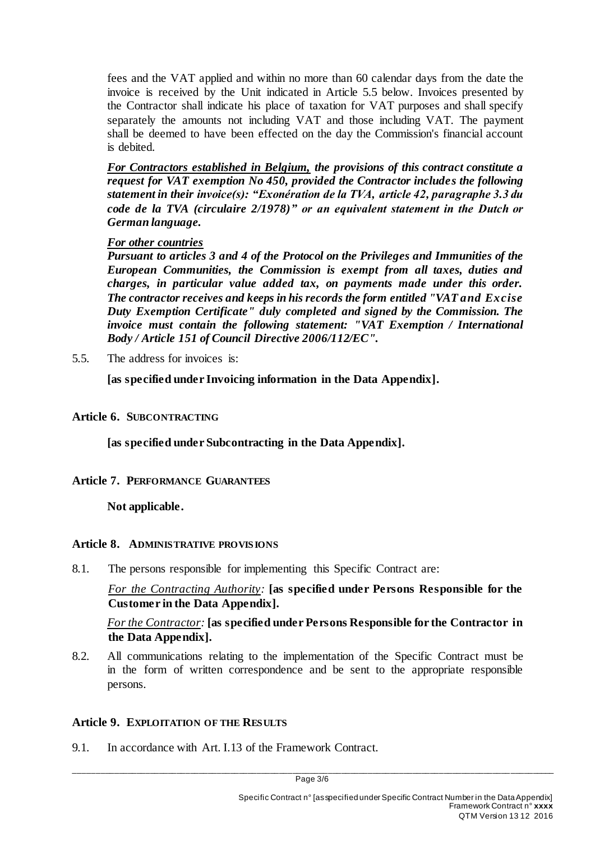fees and the VAT applied and within no more than 60 calendar days from the date the invoice is received by the Unit indicated in Article 5.5 below. Invoices presented by the Contractor shall indicate his place of taxation for VAT purposes and shall specify separately the amounts not including VAT and those including VAT. The payment shall be deemed to have been effected on the day the Commission's financial account is debited.

*For Contractors established in Belgium, the provisions of this contract constitute a request for VAT exemption No 450, provided the Contractor includes the following statement in their invoice(s): "Exonération de la TVA, article 42, paragraphe 3.3 du code de la TVA (circulaire 2/1978)" or an equivalent statement in the Dutch or German language.*

### *For other countries*

*Pursuant to articles 3 and 4 of the Protocol on the Privileges and Immunities of the European Communities, the Commission is exempt from all taxes, duties and charges, in particular value added tax, on payments made under this order. The contractor receives and keeps in his records the form entitled "VAT and Excise Duty Exemption Certificate" duly completed and signed by the Commission. The invoice must contain the following statement: "VAT Exemption / International Body / Article 151 of Council Directive 2006/112/EC".*

5.5. The address for invoices is:

**[as specified under Invoicing information in the Data Appendix].**

### **Article 6. SUBCONTRACTING**

**[as specified under Subcontracting in the Data Appendix].**

## **Article 7. PERFORMANCE GUARANTEES**

**Not applicable.**

### **Article 8. ADMINISTRATIVE PROVISIONS**

8.1. The persons responsible for implementing this Specific Contract are:

*For the Contracting Authority:* **[as specified under Persons Responsible for the Customer in the Data Appendix].**

*For the Contractor:* **[as specified under Persons Responsible for the Contractor in the Data Appendix].**

8.2. All communications relating to the implementation of the Specific Contract must be in the form of written correspondence and be sent to the appropriate responsible persons.

## **Article 9. EXPLOITATION OF THE RESULTS**

9.1. In accordance with Art. I.13 of the Framework Contract.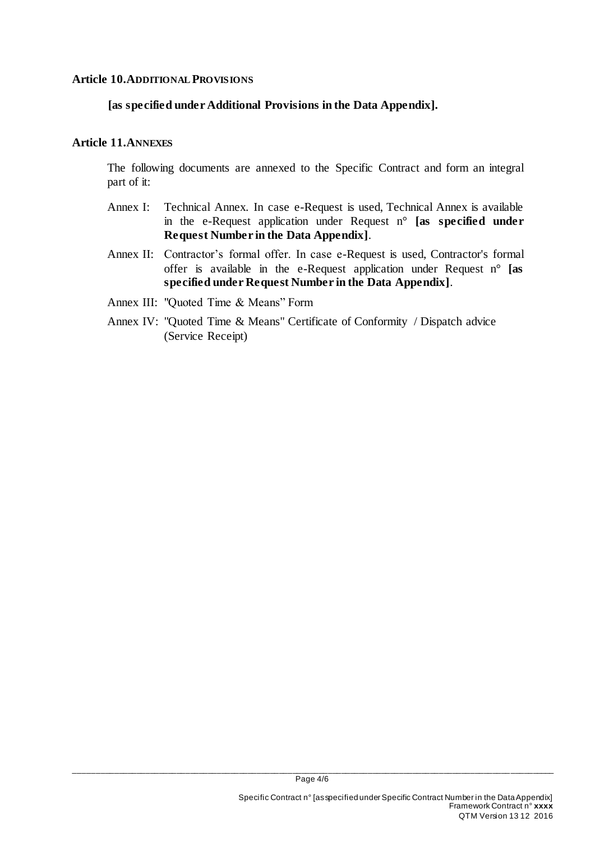#### **Article 10.ADDITIONAL PROVISIONS**

### **[as specified under Additional Provisions in the Data Appendix].**

### **Article 11.ANNEXES**

The following documents are annexed to the Specific Contract and form an integral part of it:

- Annex I: Technical Annex. In case e-Request is used, Technical Annex is available in the e-Request application under Request n° **[as specified under Request Number in the Data Appendix]**.
- Annex II: Contractor's formal offer. In case e-Request is used, Contractor's formal offer is available in the e-Request application under Request n° **[as specified under Request Number in the Data Appendix]**.
- Annex III: "Quoted Time & Means" Form
- Annex IV: "Quoted Time & Means" Certificate of Conformity / Dispatch advice (Service Receipt)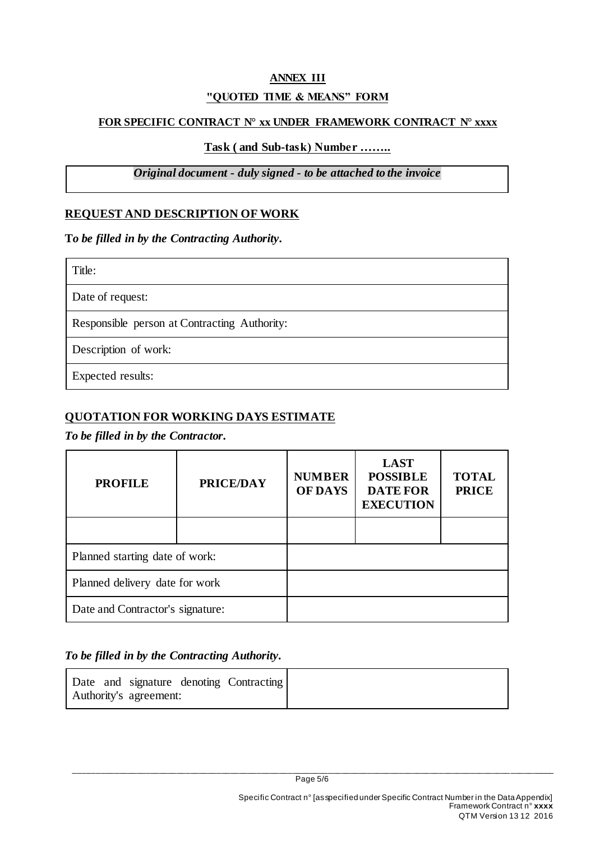# **ANNEX III "QUOTED TIME & MEANS" FORM**

### **FOR SPECIFIC CONTRACT N° xx UNDER FRAMEWORK CONTRACT N° xxxx**

### **Task ( and Sub-task) Number ……..**

# *Original document - duly signed - to be attached to the invoice*

# **REQUEST AND DESCRIPTION OF WORK**

**T***o be filled in by the Contracting Authority.*

| Title:                                       |  |  |  |  |
|----------------------------------------------|--|--|--|--|
| Date of request:                             |  |  |  |  |
| Responsible person at Contracting Authority: |  |  |  |  |
| Description of work:                         |  |  |  |  |
| <b>Expected results:</b>                     |  |  |  |  |

# **QUOTATION FOR WORKING DAYS ESTIMATE**

### *To be filled in by the Contractor.*

| <b>PROFILE</b>                   | <b>PRICE/DAY</b> | <b>NUMBER</b><br><b>OF DAYS</b> | <b>LAST</b><br><b>POSSIBLE</b><br><b>DATE FOR</b><br><b>EXECUTION</b> | <b>TOTAL</b><br><b>PRICE</b> |
|----------------------------------|------------------|---------------------------------|-----------------------------------------------------------------------|------------------------------|
|                                  |                  |                                 |                                                                       |                              |
| Planned starting date of work:   |                  |                                 |                                                                       |                              |
| Planned delivery date for work   |                  |                                 |                                                                       |                              |
| Date and Contractor's signature: |                  |                                 |                                                                       |                              |

## *To be filled in by the Contracting Authority.*

|  |                        | Date and signature denoting Contracting |
|--|------------------------|-----------------------------------------|
|  | Authority's agreement: |                                         |